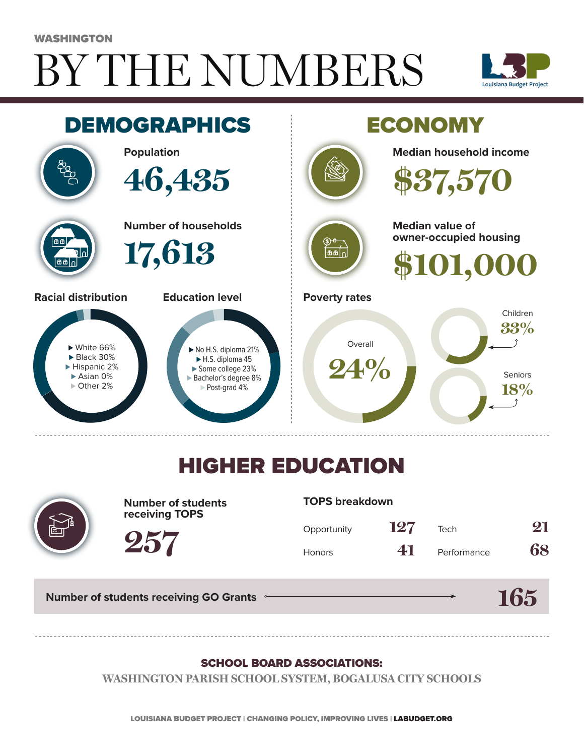# BY THE NUMBERS WASHINGTON





## HIGHER EDUCATION



**Number of students receiving TOPS**

#### **TOPS breakdown**

| Opportunity   | 127 | Tech        | 21 |
|---------------|-----|-------------|----|
| <b>Honors</b> | 41  | Performance | 68 |

**165**

**Number of students receiving GO Grants**

**257**

#### SCHOOL BOARD ASSOCIATIONS:

**WASHINGTON PARISH SCHOOL SYSTEM, BOGALUSA CITY SCHOOLS**